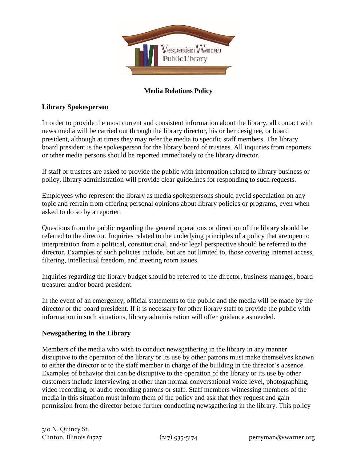

# **Media Relations Policy**

#### **Library Spokesperson**

In order to provide the most current and consistent information about the library, all contact with news media will be carried out through the library director, his or her designee, or board president, although at times they may refer the media to specific staff members. The library board president is the spokesperson for the library board of trustees. All inquiries from reporters or other media persons should be reported immediately to the library director.

If staff or trustees are asked to provide the public with information related to library business or policy, library administration will provide clear guidelines for responding to such requests.

Employees who represent the library as media spokespersons should avoid speculation on any topic and refrain from offering personal opinions about library policies or programs, even when asked to do so by a reporter.

Questions from the public regarding the general operations or direction of the library should be referred to the director. Inquiries related to the underlying principles of a policy that are open to interpretation from a political, constitutional, and/or legal perspective should be referred to the director. Examples of such policies include, but are not limited to, those covering internet access, filtering, intellectual freedom, and meeting room issues.

Inquiries regarding the library budget should be referred to the director, business manager, board treasurer and/or board president.

In the event of an emergency, official statements to the public and the media will be made by the director or the board president. If it is necessary for other library staff to provide the public with information in such situations, library administration will offer guidance as needed.

#### **Newsgathering in the Library**

Members of the media who wish to conduct newsgathering in the library in any manner disruptive to the operation of the library or its use by other patrons must make themselves known to either the director or to the staff member in charge of the building in the director's absence. Examples of behavior that can be disruptive to the operation of the library or its use by other customers include interviewing at other than normal conversational voice level, photographing, video recording, or audio recording patrons or staff. Staff members witnessing members of the media in this situation must inform them of the policy and ask that they request and gain permission from the director before further conducting newsgathering in the library. This policy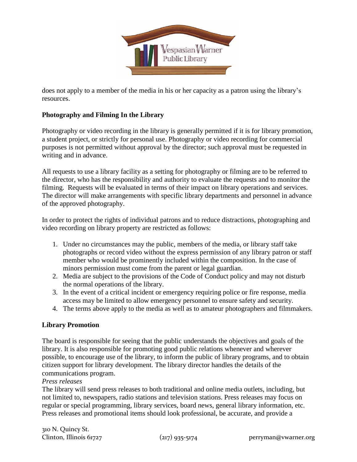

does not apply to a member of the media in his or her capacity as a patron using the library's resources.

#### **Photography and Filming In the Library**

Photography or video recording in the library is generally permitted if it is for library promotion, a student project, or strictly for personal use. Photography or video recording for commercial purposes is not permitted without approval by the director; such approval must be requested in writing and in advance.

All requests to use a library facility as a setting for photography or filming are to be referred to the director, who has the responsibility and authority to evaluate the requests and to monitor the filming. Requests will be evaluated in terms of their impact on library operations and services. The director will make arrangements with specific library departments and personnel in advance of the approved photography.

In order to protect the rights of individual patrons and to reduce distractions, photographing and video recording on library property are restricted as follows:

- 1. Under no circumstances may the public, members of the media, or library staff take photographs or record video without the express permission of any library patron or staff member who would be prominently included within the composition. In the case of minors permission must come from the parent or legal guardian.
- 2. Media are subject to the provisions of the Code of Conduct policy and may not disturb the normal operations of the library.
- 3. In the event of a critical incident or emergency requiring police or fire response, media access may be limited to allow emergency personnel to ensure safety and security.
- 4. The terms above apply to the media as well as to amateur photographers and filmmakers.

## **Library Promotion**

The board is responsible for seeing that the public understands the objectives and goals of the library. It is also responsible for promoting good public relations whenever and wherever possible, to encourage use of the library, to inform the public of library programs, and to obtain citizen support for library development. The library director handles the details of the communications program.

#### *Press releases*

The library will send press releases to both traditional and online media outlets, including, but not limited to, newspapers, radio stations and television stations. Press releases may focus on regular or special programming, library services, board news, general library information, etc. Press releases and promotional items should look professional, be accurate, and provide a

310 N. Quincy St. Clinton, Illinois 61727  $(217)$  935-5174 perryman@vwarner.org